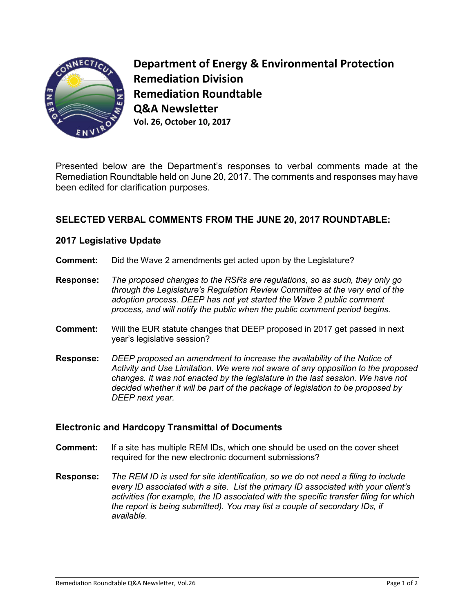

**Department of Energy & Environmental Protection Remediation Division Remediation Roundtable Q&A Newsletter Vol. 26, October 10, 2017**

Presented below are the Department's responses to verbal comments made at the Remediation Roundtable held on June 20, 2017. The comments and responses may have been edited for clarification purposes.

# **SELECTED VERBAL COMMENTS FROM THE JUNE 20, 2017 ROUNDTABLE:**

### **2017 Legislative Update**

- **Comment:** Did the Wave 2 amendments get acted upon by the Legislature?
- **Response:** *The proposed changes to the RSRs are regulations, so as such, they only go through the Legislature's Regulation Review Committee at the very end of the adoption process. DEEP has not yet started the Wave 2 public comment process, and will notify the public when the public comment period begins.*
- **Comment:** Will the EUR statute changes that DEEP proposed in 2017 get passed in next year's legislative session?
- **Response:** *DEEP proposed an amendment to increase the availability of the Notice of Activity and Use Limitation. We were not aware of any opposition to the proposed changes. It was not enacted by the legislature in the last session. We have not decided whether it will be part of the package of legislation to be proposed by DEEP next year.*

### **Electronic and Hardcopy Transmittal of Documents**

- **Comment:** If a site has multiple REM IDs, which one should be used on the cover sheet required for the new electronic document submissions?
- **Response:** *The REM ID is used for site identification, so we do not need a filing to include every ID associated with a site. List the primary ID associated with your client's activities (for example, the ID associated with the specific transfer filing for which the report is being submitted). You may list a couple of secondary IDs, if available.*